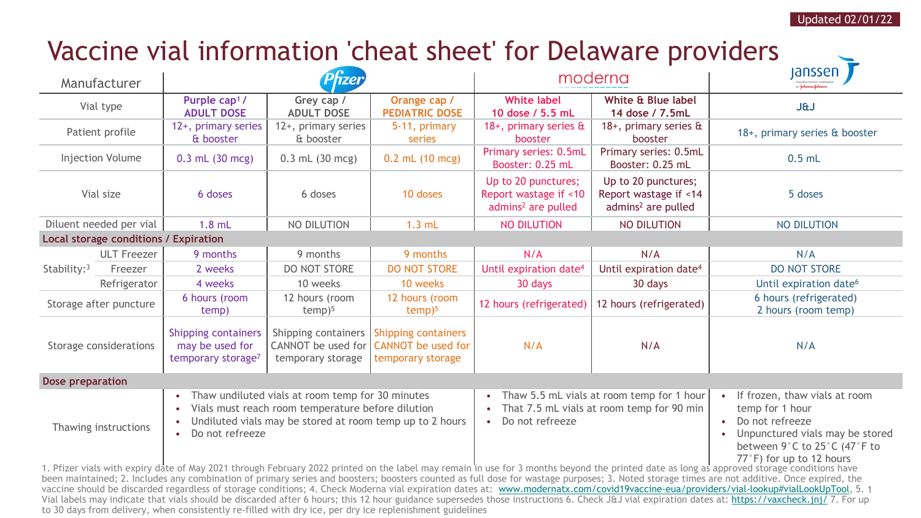## Vaccine vial information 'cheat sheet' for Delaware providers

| Manufacturer                                                                                                                                                                               |                    |                                                                                                                                                                                                   |                                                                |                                                                              | moderna                                                                                                                             |                                                                                | <b>Janssen</b><br>OF Johnson-Johnson                                                                                                                               |
|--------------------------------------------------------------------------------------------------------------------------------------------------------------------------------------------|--------------------|---------------------------------------------------------------------------------------------------------------------------------------------------------------------------------------------------|----------------------------------------------------------------|------------------------------------------------------------------------------|-------------------------------------------------------------------------------------------------------------------------------------|--------------------------------------------------------------------------------|--------------------------------------------------------------------------------------------------------------------------------------------------------------------|
| Vial type                                                                                                                                                                                  |                    | Purple cap <sup>1</sup> /<br><b>ADULT DOSE</b>                                                                                                                                                    | Grey cap /<br><b>ADULT DOSE</b>                                | Orange cap /<br><b>PEDIATRIC DOSE</b>                                        | <b>White label</b><br>10 dose / 5.5 mL                                                                                              | White & Blue label<br>14 dose / 7.5mL                                          | <b>J&amp;J</b>                                                                                                                                                     |
| Patient profile                                                                                                                                                                            |                    | 12+, primary series<br>& booster                                                                                                                                                                  | 12+, primary series<br>& booster                               | 5-11, primary<br>series                                                      | 18+, primary series &<br>booster                                                                                                    | 18+, primary series &<br>booster                                               | 18+, primary series & booster                                                                                                                                      |
| <b>Injection Volume</b>                                                                                                                                                                    |                    | $0.3$ mL $(30$ mcg)                                                                                                                                                                               | $0.3$ mL $(30$ mcg)                                            | $0.2$ mL (10 mcg)                                                            | Primary series: 0.5mL<br>Booster: 0.25 mL                                                                                           | Primary series: 0.5mL<br>Booster: 0.25 mL                                      | $0.5$ mL                                                                                                                                                           |
| Vial size                                                                                                                                                                                  |                    | 6 doses                                                                                                                                                                                           | 6 doses                                                        | 10 doses                                                                     | Up to 20 punctures;<br>Report wastage if <10<br>admins <sup>2</sup> are pulled                                                      | Up to 20 punctures;<br>Report wastage if <14<br>admins <sup>2</sup> are pulled | 5 doses                                                                                                                                                            |
| Diluent needed per vial                                                                                                                                                                    |                    | $1.8$ mL                                                                                                                                                                                          | NO DILUTION                                                    | $1.3$ mL                                                                     | <b>NO DILUTION</b>                                                                                                                  | <b>NO DILUTION</b>                                                             | <b>NO DILUTION</b>                                                                                                                                                 |
| <b>Local storage conditions / Expiration</b>                                                                                                                                               |                    |                                                                                                                                                                                                   |                                                                |                                                                              |                                                                                                                                     |                                                                                |                                                                                                                                                                    |
| Stability: 3                                                                                                                                                                               | <b>ULT Freezer</b> | 9 months                                                                                                                                                                                          | 9 months                                                       | 9 months                                                                     | N/A                                                                                                                                 | N/A                                                                            | N/A                                                                                                                                                                |
|                                                                                                                                                                                            | Freezer            | 2 weeks                                                                                                                                                                                           | DO NOT STORE                                                   | <b>DO NOT STORE</b>                                                          | Until expiration date <sup>4</sup>                                                                                                  | Until expiration date <sup>4</sup>                                             | <b>DO NOT STORE</b>                                                                                                                                                |
|                                                                                                                                                                                            | Refrigerator       | 4 weeks                                                                                                                                                                                           | 10 weeks                                                       | 10 weeks                                                                     | 30 days                                                                                                                             | 30 days                                                                        | Until expiration date <sup>6</sup>                                                                                                                                 |
| Storage after puncture                                                                                                                                                                     |                    | 6 hours (room<br>temp)                                                                                                                                                                            | 12 hours (room<br>$temp)$ <sup>5</sup>                         | 12 hours (room<br>$temp$ <sup>5</sup>                                        | 12 hours (refrigerated)                                                                                                             | 12 hours (refrigerated)                                                        | 6 hours (refrigerated)<br>2 hours (room temp)                                                                                                                      |
| Storage considerations                                                                                                                                                                     |                    | <b>Shipping containers</b><br>may be used for<br>temporary storage <sup>7</sup>                                                                                                                   | Shipping containers<br>CANNOT be used for<br>temporary storage | <b>Shipping containers</b><br><b>CANNOT</b> be used for<br>temporary storage | N/A                                                                                                                                 | N/A                                                                            | N/A                                                                                                                                                                |
| Dose preparation                                                                                                                                                                           |                    |                                                                                                                                                                                                   |                                                                |                                                                              |                                                                                                                                     |                                                                                |                                                                                                                                                                    |
| Thawing instructions                                                                                                                                                                       |                    | Thaw undiluted vials at room temp for 30 minutes<br>$\bullet$<br>Vials must reach room temperature before dilution<br>Undiluted vials may be stored at room temp up to 2 hours<br>Do not refreeze |                                                                |                                                                              | Thaw 5.5 mL vials at room temp for 1 hour<br>$\bullet$<br>That 7.5 mL vials at room temp for 90 min<br>Do not refreeze<br>$\bullet$ |                                                                                | If frozen, thaw vials at room<br>temp for 1 hour<br>Do not refreeze<br>Unpunctured vials may be stored<br>between 9°C to 25°C (47°F to<br>77°F) for up to 12 hours |
| 1. Pfizer vials with expiry date of May 2021 through February 2022 printed on the label may remain in use for 3 months beyond the printed date as long as approved storage conditions have |                    |                                                                                                                                                                                                   |                                                                |                                                                              |                                                                                                                                     |                                                                                |                                                                                                                                                                    |

vaccine should be discarded regardless of storage conditions; 4. Check Moderna vial expiration dates at: [www.modernatx.com/covid19vaccine-eua/providers/vial-lookup#vialLookUpTool](http://www.modernatx.com/covid19vaccine-eua/providers/vial-lookup#vialLookUpTool), 5. 1 been maintained; 2. Includes any combination of primary series and boosters; boosters counted as full dose for wastage purposes; 3. Noted storage times are not additive. Once expired, the Vial labels may indicate that vials should be discarded after 6 hours; this 12 hour guidance supersedes those instructions 6. Check J&J vial expiration dates at: <https://vaxcheck.jnj/> 7. For up to 30 days from delivery, when consistently re-filled with dry ice, per dry ice replenishment guidelines